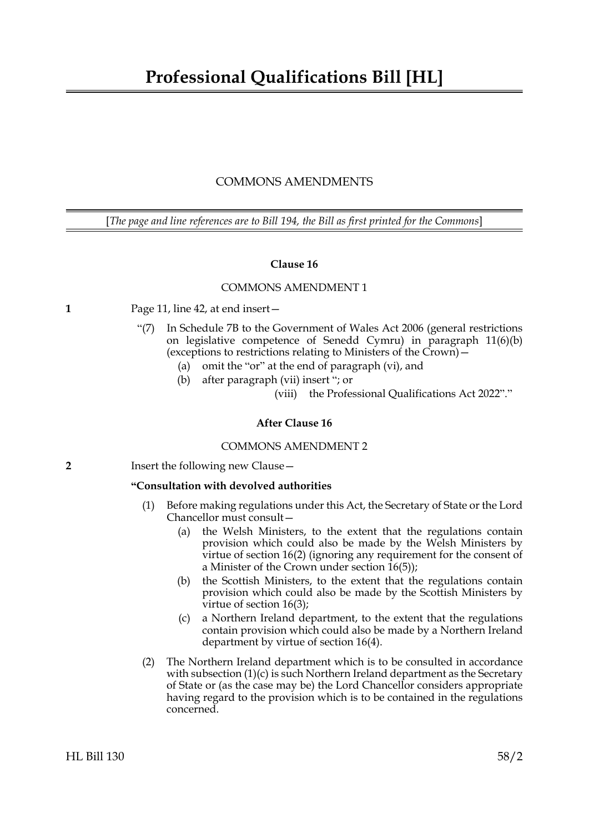# COMMONS AMENDMENTS

[*The page and line references are to Bill 194, the Bill as first printed for the Commons*]

# **Clause 16**

# COMMONS AMENDMENT 1

# **1** Page 11, line 42, at end insert—

- "(7) In Schedule 7B to the Government of Wales Act 2006 (general restrictions on legislative competence of Senedd Cymru) in paragraph 11(6)(b) (exceptions to restrictions relating to Ministers of the Crown)—
	- (a) omit the "or" at the end of paragraph (vi), and
	- (b) after paragraph (vii) insert "; or
		- (viii) the Professional Qualifications Act 2022"."

# **After Clause 16**

#### COMMONS AMENDMENT 2

**2** Insert the following new Clause –

# **"Consultation with devolved authorities**

- <span id="page-0-0"></span>(1) Before making regulations under this Act, the Secretary of State or the Lord Chancellor must consult—
	- (a) the Welsh Ministers, to the extent that the regulations contain provision which could also be made by the Welsh Ministers by virtue of section 16(2) (ignoring any requirement for the consent of a Minister of the Crown under section 16(5));
	- (b) the Scottish Ministers, to the extent that the regulations contain provision which could also be made by the Scottish Ministers by virtue of section 16(3);
	- (c) a Northern Ireland department, to the extent that the regulations contain provision which could also be made by a Northern Ireland department by virtue of section 16(4).
- (2) The Northern Ireland department which is to be consulted in accordance with subsection  $(1)(c)$  is such Northern Ireland department as the Secretary of State or (as the case may be) the Lord Chancellor considers appropriate having regard to the provision which is to be contained in the regulations concerned.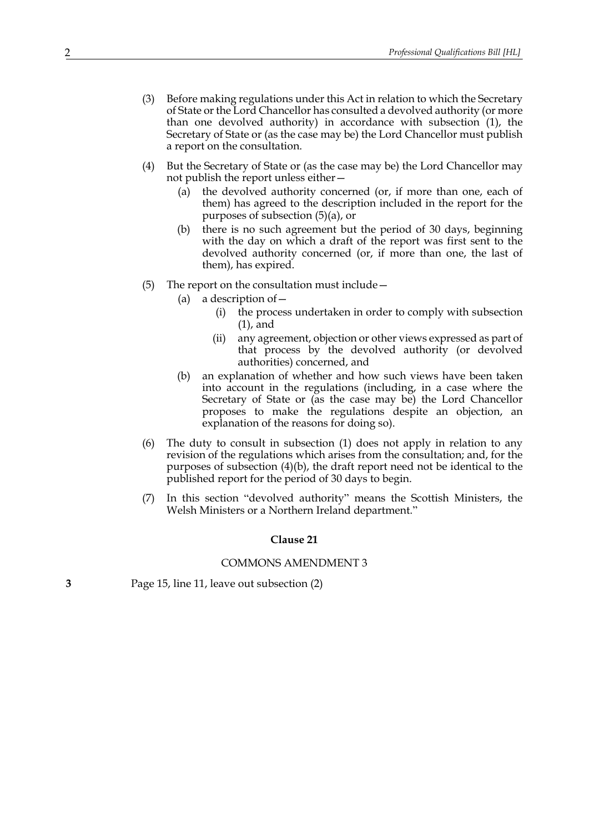- (3) Before making regulations under this Act in relation to which the Secretary of State or the Lord Chancellor has consulted a devolved authority (or more than one devolved authority) in accordance with subsection [\(1\)](#page-0-0), the Secretary of State or (as the case may be) the Lord Chancellor must publish a report on the consultation.
- (4) But the Secretary of State or (as the case may be) the Lord Chancellor may not publish the report unless either—
	- (a) the devolved authority concerned (or, if more than one, each of them) has agreed to the description included in the report for the purposes of subsection (5)(a), or
	- (b) there is no such agreement but the period of 30 days, beginning with the day on which a draft of the report was first sent to the devolved authority concerned (or, if more than one, the last of them), has expired.
- (5) The report on the consultation must include—
	- (a) a description of  $-$ 
		- (i) the process undertaken in order to comply with subsection [\(1\)](#page-0-0), and
		- (ii) any agreement, objection or other views expressed as part of that process by the devolved authority (or devolved authorities) concerned, and
	- (b) an explanation of whether and how such views have been taken into account in the regulations (including, in a case where the Secretary of State or (as the case may be) the Lord Chancellor proposes to make the regulations despite an objection, an explanation of the reasons for doing so).
- (6) The duty to consult in subsection (1) does not apply in relation to any revision of the regulations which arises from the consultation; and, for the purposes of subsection (4)(b), the draft report need not be identical to the published report for the period of 30 days to begin.
- (7) In this section "devolved authority" means the Scottish Ministers, the Welsh Ministers or a Northern Ireland department."

#### **Clause 21**

#### COMMONS AMENDMENT 3

**3** Page 15, line 11, leave out subsection (2)